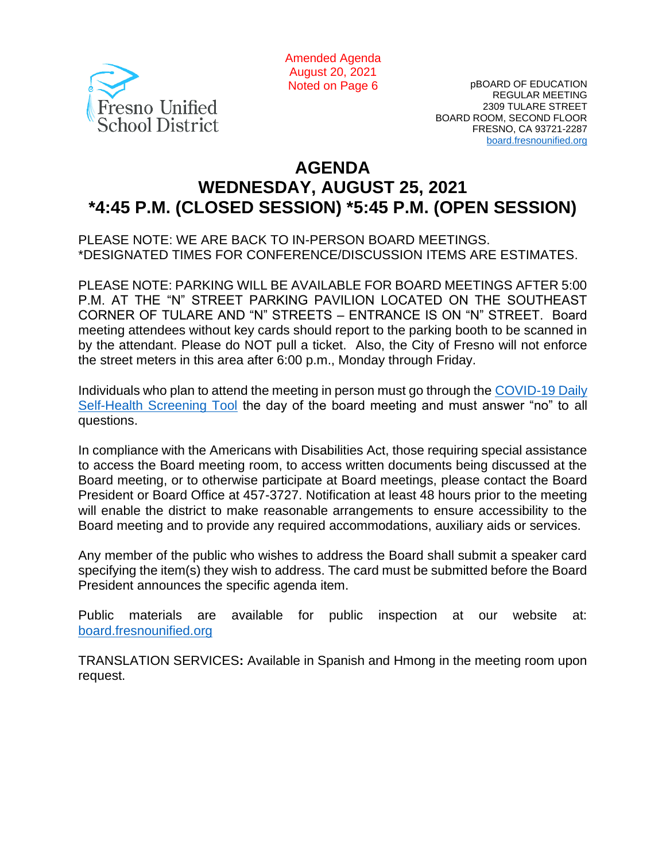

Amended Agenda August 20, 2021 Noted on Page 6

pBOARD OF EDUCATION REGULAR MEETING 2309 TULARE STREET BOARD ROOM, SECOND FLOOR FRESNO, CA 93721-2287 [board.fresnounified.org](https://board.fresnounified.org/)

# **AGENDA WEDNESDAY, AUGUST 25, 2021 \*4:45 P.M. (CLOSED SESSION) \*5:45 P.M. (OPEN SESSION)**

PLEASE NOTE: WE ARE BACK TO IN-PERSON BOARD MEETINGS. \*DESIGNATED TIMES FOR CONFERENCE/DISCUSSION ITEMS ARE ESTIMATES.

PLEASE NOTE: PARKING WILL BE AVAILABLE FOR BOARD MEETINGS AFTER 5:00 P.M. AT THE "N" STREET PARKING PAVILION LOCATED ON THE SOUTHEAST CORNER OF TULARE AND "N" STREETS – ENTRANCE IS ON "N" STREET. Board meeting attendees without key cards should report to the parking booth to be scanned in by the attendant. Please do NOT pull a ticket. Also, the City of Fresno will not enforce the street meters in this area after 6:00 p.m., Monday through Friday.

Individuals who plan to attend the meeting in person must go through the [COVID-19 Daily](https://health.fresnounified.org/wp-content/uploads/FUSD-Self-Health-Screening-Tool.pdf)  [Self-Health Screening Tool](https://health.fresnounified.org/wp-content/uploads/FUSD-Self-Health-Screening-Tool.pdf) the day of the board meeting and must answer "no" to all questions.

In compliance with the Americans with Disabilities Act, those requiring special assistance to access the Board meeting room, to access written documents being discussed at the Board meeting, or to otherwise participate at Board meetings, please contact the Board President or Board Office at 457-3727. Notification at least 48 hours prior to the meeting will enable the district to make reasonable arrangements to ensure accessibility to the Board meeting and to provide any required accommodations, auxiliary aids or services.

Any member of the public who wishes to address the Board shall submit a speaker card specifying the item(s) they wish to address. The card must be submitted before the Board President announces the specific agenda item.

Public materials are available for public inspection at our website at: [board.fresnounified.org](https://board.fresnounified.org/)

TRANSLATION SERVICES**:** Available in Spanish and Hmong in the meeting room upon request.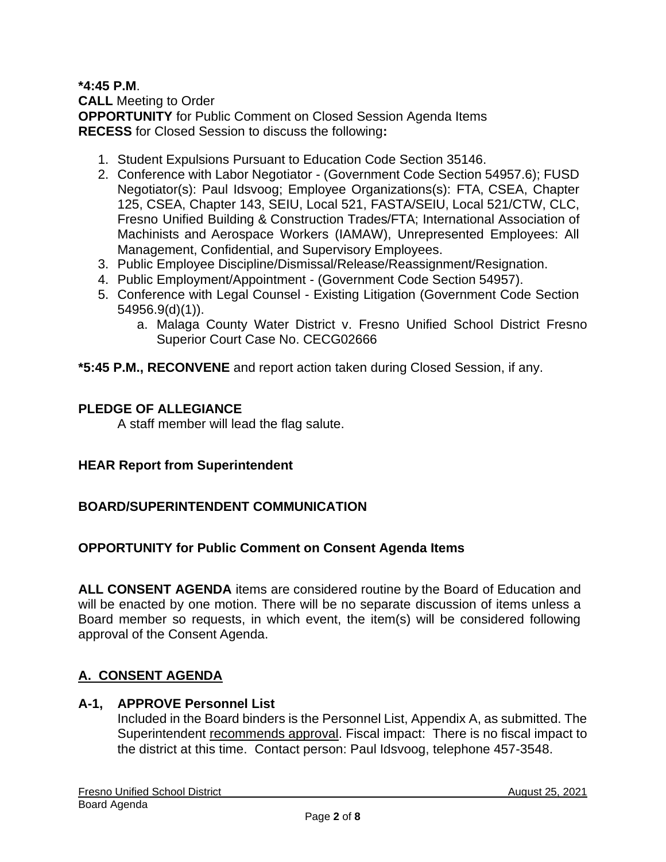**\*4:45 P.M**. **CALL** Meeting to Order **OPPORTUNITY** for Public Comment on Closed Session Agenda Items **RECESS** for Closed Session to discuss the following**:**

- 1. Student Expulsions Pursuant to Education Code Section 35146.
- 2. Conference with Labor Negotiator (Government Code Section 54957.6); FUSD Negotiator(s): Paul Idsvoog; Employee Organizations(s): FTA, CSEA, Chapter 125, CSEA, Chapter 143, SEIU, Local 521, FASTA/SEIU, Local 521/CTW, CLC, Fresno Unified Building & Construction Trades/FTA; International Association of Machinists and Aerospace Workers (IAMAW), Unrepresented Employees: All Management, Confidential, and Supervisory Employees.
- 3. Public Employee Discipline/Dismissal/Release/Reassignment/Resignation.
- 4. Public Employment/Appointment (Government Code Section 54957).
- 5. Conference with Legal Counsel Existing Litigation (Government Code Section 54956.9(d)(1)).
	- a. Malaga County Water District v. Fresno Unified School District Fresno Superior Court Case No. CECG02666

**\*5:45 P.M., RECONVENE** and report action taken during Closed Session, if any.

#### **PLEDGE OF ALLEGIANCE**

A staff member will lead the flag salute.

#### **HEAR Report from Superintendent**

#### **BOARD/SUPERINTENDENT COMMUNICATION**

#### **OPPORTUNITY for Public Comment on Consent Agenda Items**

**ALL CONSENT AGENDA** items are considered routine by the Board of Education and will be enacted by one motion. There will be no separate discussion of items unless a Board member so requests, in which event, the item(s) will be considered following approval of the Consent Agenda.

## **A. CONSENT AGENDA**

#### **A-1, APPROVE Personnel List**

Included in the Board binders is the Personnel List, Appendix A, as submitted. The Superintendent recommends approval. Fiscal impact: There is no fiscal impact to the district at this time. Contact person: Paul Idsvoog, telephone 457-3548.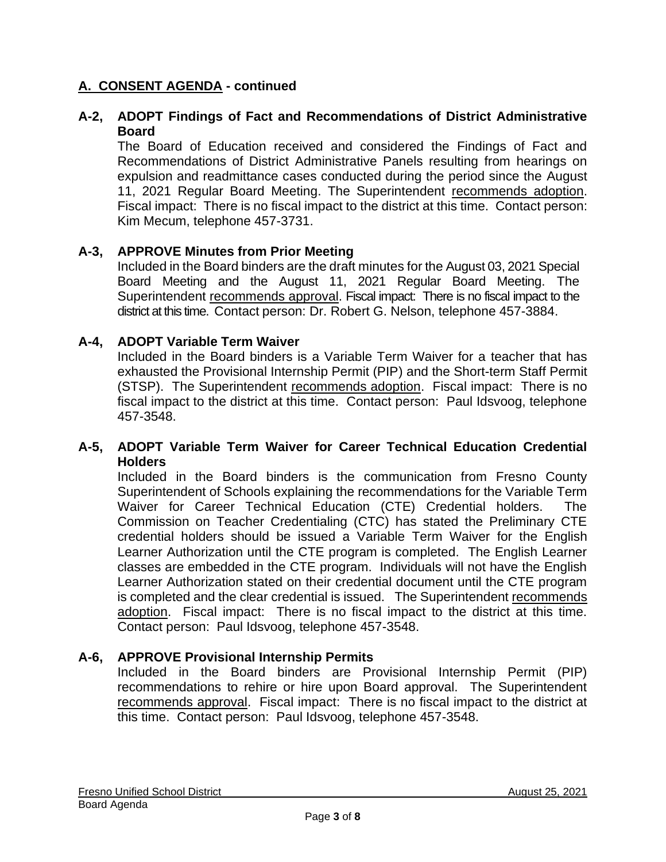## **A. CONSENT AGENDA - continued**

### **A-2, ADOPT Findings of Fact and Recommendations of District Administrative Board**

The Board of Education received and considered the Findings of Fact and Recommendations of District Administrative Panels resulting from hearings on expulsion and readmittance cases conducted during the period since the August 11, 2021 Regular Board Meeting. The Superintendent recommends adoption. Fiscal impact: There is no fiscal impact to the district at this time. Contact person: Kim Mecum, telephone 457-3731.

#### **A-3, APPROVE Minutes from Prior Meeting**

Included in the Board binders are the draft minutes for the August 03, 2021 Special Board Meeting and the August 11, 2021 Regular Board Meeting. The Superintendent recommends approval. Fiscal impact: There is no fiscal impact to the district at this time. Contact person: Dr. Robert G. Nelson, telephone 457-3884.

#### **A-4, ADOPT Variable Term Waiver**

Included in the Board binders is a Variable Term Waiver for a teacher that has exhausted the Provisional Internship Permit (PIP) and the Short-term Staff Permit (STSP). The Superintendent recommends adoption. Fiscal impact: There is no fiscal impact to the district at this time. Contact person: Paul Idsvoog, telephone 457-3548.

#### **A-5, ADOPT Variable Term Waiver for Career Technical Education Credential Holders**

Included in the Board binders is the communication from Fresno County Superintendent of Schools explaining the recommendations for the Variable Term Waiver for Career Technical Education (CTE) Credential holders. The Commission on Teacher Credentialing (CTC) has stated the Preliminary CTE credential holders should be issued a Variable Term Waiver for the English Learner Authorization until the CTE program is completed. The English Learner classes are embedded in the CTE program. Individuals will not have the English Learner Authorization stated on their credential document until the CTE program is completed and the clear credential is issued. The Superintendent recommends adoption. Fiscal impact: There is no fiscal impact to the district at this time. Contact person: Paul Idsvoog, telephone 457-3548.

#### **A-6, APPROVE Provisional Internship Permits**

Included in the Board binders are Provisional Internship Permit (PIP) recommendations to rehire or hire upon Board approval. The Superintendent recommends approval. Fiscal impact: There is no fiscal impact to the district at this time. Contact person: Paul Idsvoog, telephone 457-3548.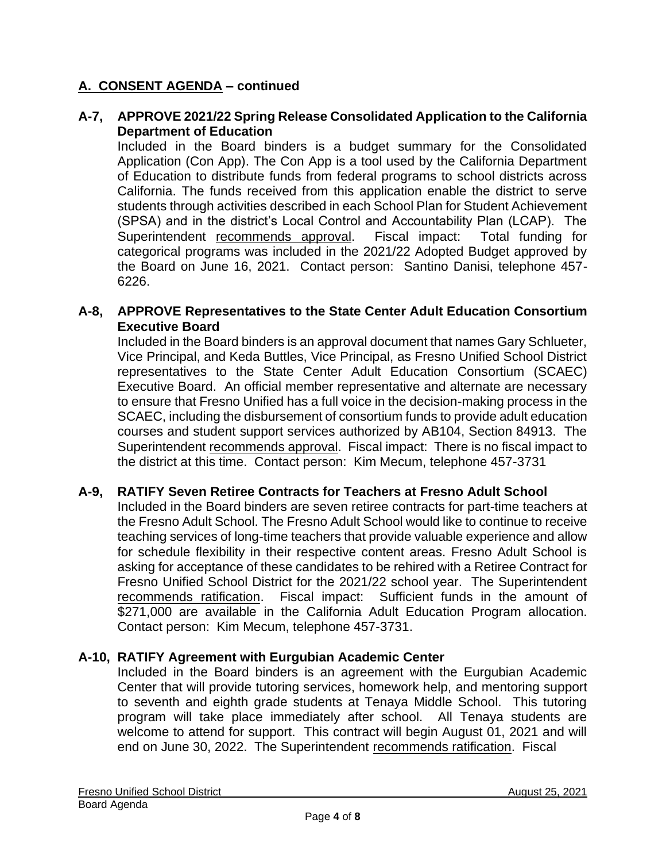## **A. CONSENT AGENDA – continued**

#### **A-7, APPROVE 2021/22 Spring Release Consolidated Application to the California Department of Education**

Included in the Board binders is a budget summary for the Consolidated Application (Con App). The Con App is a tool used by the California Department of Education to distribute funds from federal programs to school districts across California. The funds received from this application enable the district to serve students through activities described in each School Plan for Student Achievement (SPSA) and in the district's Local Control and Accountability Plan (LCAP). The Superintendent recommends approval. Fiscal impact: Total funding for categorical programs was included in the 2021/22 Adopted Budget approved by the Board on June 16, 2021. Contact person: Santino Danisi, telephone 457- 6226.

#### **A-8, APPROVE Representatives to the State Center Adult Education Consortium Executive Board**

Included in the Board binders is an approval document that names Gary Schlueter, Vice Principal, and Keda Buttles, Vice Principal, as Fresno Unified School District representatives to the State Center Adult Education Consortium (SCAEC) Executive Board. An official member representative and alternate are necessary to ensure that Fresno Unified has a full voice in the decision-making process in the SCAEC, including the disbursement of consortium funds to provide adult education courses and student support services authorized by AB104, Section 84913. The Superintendent recommends approval. Fiscal impact: There is no fiscal impact to the district at this time. Contact person: Kim Mecum, telephone 457-3731

## **A-9, RATIFY Seven Retiree Contracts for Teachers at Fresno Adult School**

Included in the Board binders are seven retiree contracts for part-time teachers at the Fresno Adult School. The Fresno Adult School would like to continue to receive teaching services of long-time teachers that provide valuable experience and allow for schedule flexibility in their respective content areas. Fresno Adult School is asking for acceptance of these candidates to be rehired with a Retiree Contract for Fresno Unified School District for the 2021/22 school year. The Superintendent recommends ratification. Fiscal impact: Sufficient funds in the amount of \$271,000 are available in the California Adult Education Program allocation. Contact person: Kim Mecum, telephone 457-3731.

## **A-10, RATIFY Agreement with Eurgubian Academic Center**

Included in the Board binders is an agreement with the Eurgubian Academic Center that will provide tutoring services, homework help, and mentoring support to seventh and eighth grade students at Tenaya Middle School. This tutoring program will take place immediately after school. All Tenaya students are welcome to attend for support. This contract will begin August 01, 2021 and will end on June 30, 2022. The Superintendent recommends ratification. Fiscal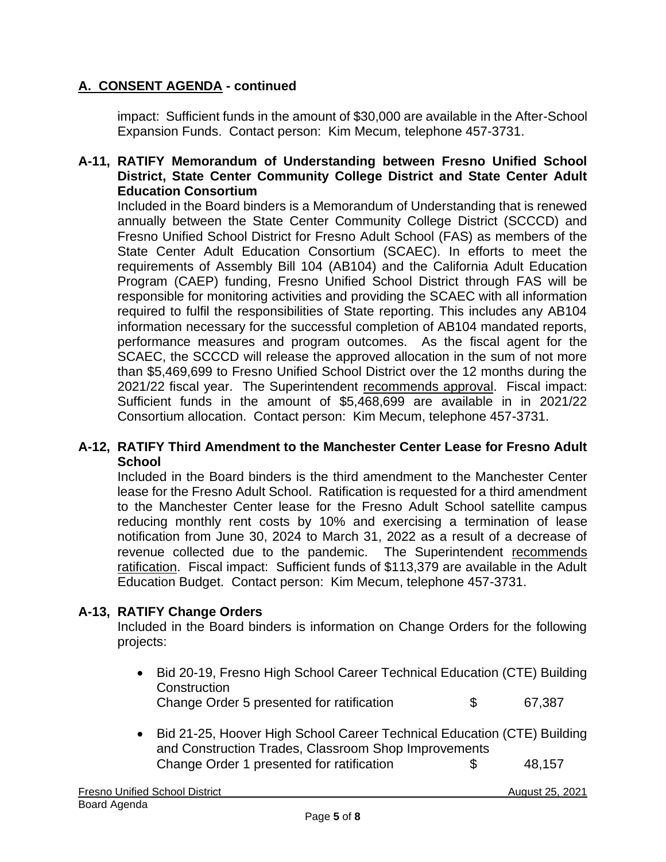## **A. CONSENT AGENDA - continued**

impact: Sufficient funds in the amount of \$30,000 are available in the After-School Expansion Funds. Contact person: Kim Mecum, telephone 457-3731.

#### **A-11, RATIFY Memorandum of Understanding between Fresno Unified School District, State Center Community College District and State Center Adult Education Consortium**

Included in the Board binders is a Memorandum of Understanding that is renewed annually between the State Center Community College District (SCCCD) and Fresno Unified School District for Fresno Adult School (FAS) as members of the State Center Adult Education Consortium (SCAEC). In efforts to meet the requirements of Assembly Bill 104 (AB104) and the California Adult Education Program (CAEP) funding, Fresno Unified School District through FAS will be responsible for monitoring activities and providing the SCAEC with all information required to fulfil the responsibilities of State reporting. This includes any AB104 information necessary for the successful completion of AB104 mandated reports, performance measures and program outcomes. As the fiscal agent for the SCAEC, the SCCCD will release the approved allocation in the sum of not more than \$5,469,699 to Fresno Unified School District over the 12 months during the 2021/22 fiscal year. The Superintendent recommends approval. Fiscal impact: Sufficient funds in the amount of \$5,468,699 are available in in 2021/22 Consortium allocation. Contact person: Kim Mecum, telephone 457-3731.

#### **A-12, RATIFY Third Amendment to the Manchester Center Lease for Fresno Adult School**

Included in the Board binders is the third amendment to the Manchester Center lease for the Fresno Adult School. Ratification is requested for a third amendment to the Manchester Center lease for the Fresno Adult School satellite campus reducing monthly rent costs by 10% and exercising a termination of lease notification from June 30, 2024 to March 31, 2022 as a result of a decrease of revenue collected due to the pandemic. The Superintendent recommends ratification. Fiscal impact: Sufficient funds of \$113,379 are available in the Adult Education Budget. Contact person: Kim Mecum, telephone 457-3731.

#### **A-13, RATIFY Change Orders**

Included in the Board binders is information on Change Orders for the following projects:

| • Bid 20-19, Fresno High School Career Technical Education (CTE) Building |     |        |
|---------------------------------------------------------------------------|-----|--------|
| Construction                                                              |     |        |
| Change Order 5 presented for ratification                                 | - S | 67.387 |
|                                                                           |     |        |

• Bid 21-25, Hoover High School Career Technical Education (CTE) Building and Construction Trades, Classroom Shop Improvements Change Order 1 presented for ratification \$ 48,157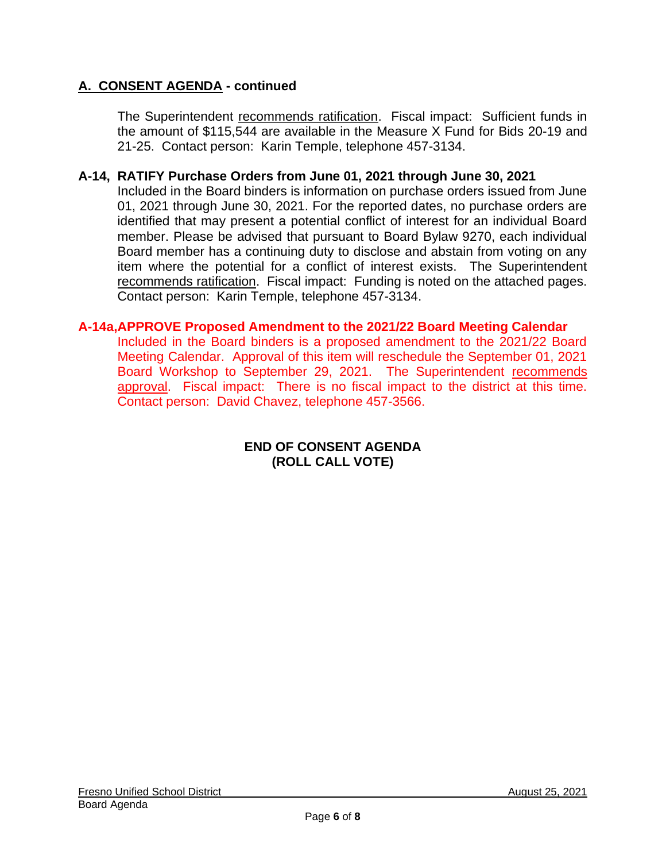## **A. CONSENT AGENDA - continued**

The Superintendent recommends ratification. Fiscal impact: Sufficient funds in the amount of \$115,544 are available in the Measure X Fund for Bids 20-19 and 21-25. Contact person: Karin Temple, telephone 457-3134.

#### **A-14, RATIFY Purchase Orders from June 01, 2021 through June 30, 2021**

Included in the Board binders is information on purchase orders issued from June 01, 2021 through June 30, 2021. For the reported dates, no purchase orders are identified that may present a potential conflict of interest for an individual Board member. Please be advised that pursuant to Board Bylaw 9270, each individual Board member has a continuing duty to disclose and abstain from voting on any item where the potential for a conflict of interest exists. The Superintendent recommends ratification. Fiscal impact: Funding is noted on the attached pages. Contact person: Karin Temple, telephone 457-3134.

#### **A-14a,APPROVE Proposed Amendment to the 2021/22 Board Meeting Calendar**

Included in the Board binders is a proposed amendment to the 2021/22 Board Meeting Calendar. Approval of this item will reschedule the September 01, 2021 Board Workshop to September 29, 2021. The Superintendent recommends approval. Fiscal impact: There is no fiscal impact to the district at this time. Contact person: David Chavez, telephone 457-3566.

#### **END OF CONSENT AGENDA (ROLL CALL VOTE)**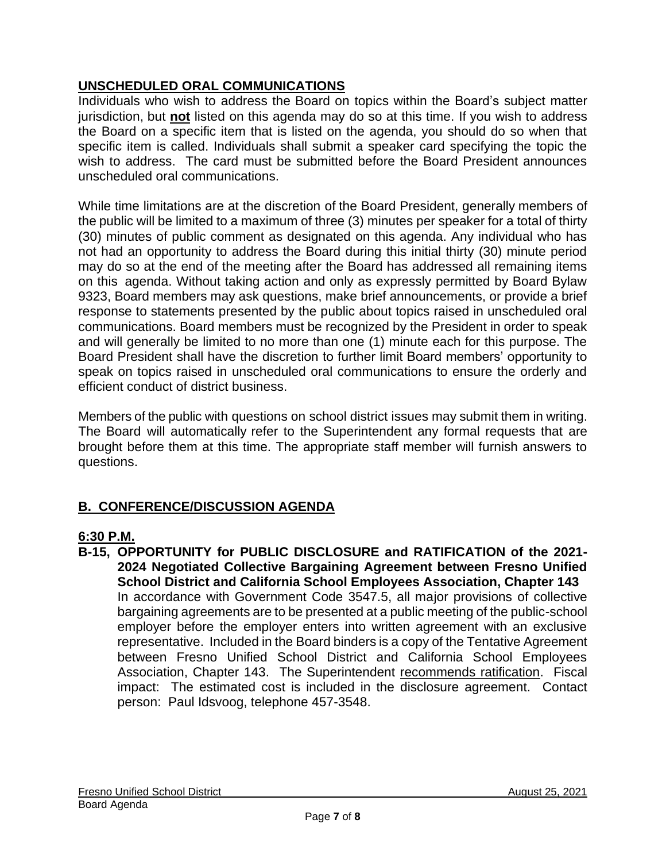## **UNSCHEDULED ORAL COMMUNICATIONS**

Individuals who wish to address the Board on topics within the Board's subject matter jurisdiction, but **not** listed on this agenda may do so at this time. If you wish to address the Board on a specific item that is listed on the agenda, you should do so when that specific item is called. Individuals shall submit a speaker card specifying the topic the wish to address. The card must be submitted before the Board President announces unscheduled oral communications.

While time limitations are at the discretion of the Board President, generally members of the public will be limited to a maximum of three (3) minutes per speaker for a total of thirty (30) minutes of public comment as designated on this agenda. Any individual who has not had an opportunity to address the Board during this initial thirty (30) minute period may do so at the end of the meeting after the Board has addressed all remaining items on this agenda. Without taking action and only as expressly permitted by Board Bylaw 9323, Board members may ask questions, make brief announcements, or provide a brief response to statements presented by the public about topics raised in unscheduled oral communications. Board members must be recognized by the President in order to speak and will generally be limited to no more than one (1) minute each for this purpose. The Board President shall have the discretion to further limit Board members' opportunity to speak on topics raised in unscheduled oral communications to ensure the orderly and efficient conduct of district business.

Members of the public with questions on school district issues may submit them in writing. The Board will automatically refer to the Superintendent any formal requests that are brought before them at this time. The appropriate staff member will furnish answers to questions.

# **B. CONFERENCE/DISCUSSION AGENDA**

## **6:30 P.M.**

**B-15, OPPORTUNITY for PUBLIC DISCLOSURE and RATIFICATION of the 2021- 2024 Negotiated Collective Bargaining Agreement between Fresno Unified School District and California School Employees Association, Chapter 143** In accordance with Government Code 3547.5, all major provisions of collective bargaining agreements are to be presented at a public meeting of the public-school employer before the employer enters into written agreement with an exclusive representative. Included in the Board binders is a copy of the Tentative Agreement between Fresno Unified School District and California School Employees Association, Chapter 143. The Superintendent recommends ratification. Fiscal impact: The estimated cost is included in the disclosure agreement. Contact person: Paul Idsvoog, telephone 457-3548.